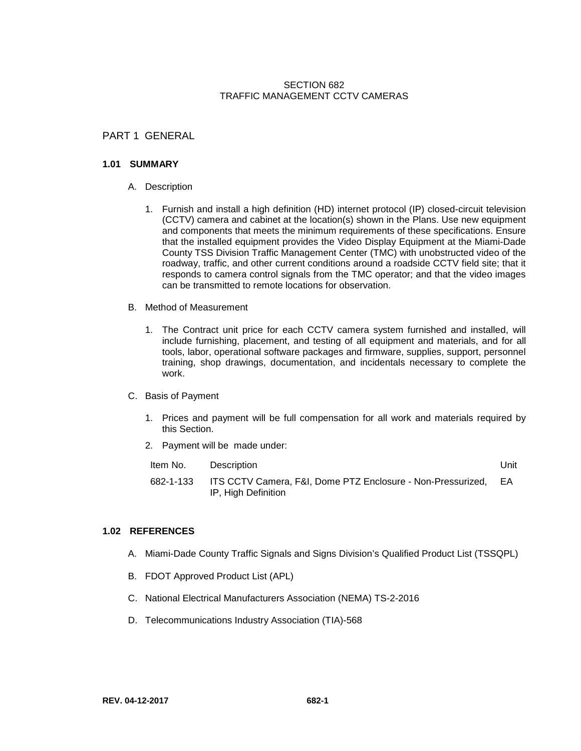#### SECTION 682 TRAFFIC MANAGEMENT CCTV CAMERAS

### PART 1 GENERAL

#### **1.01 SUMMARY**

- A. Description
	- 1. Furnish and install a high definition (HD) internet protocol (IP) closed-circuit television (CCTV) camera and cabinet at the location(s) shown in the Plans. Use new equipment and components that meets the minimum requirements of these specifications. Ensure that the installed equipment provides the Video Display Equipment at the Miami-Dade County TSS Division Traffic Management Center (TMC) with unobstructed video of the roadway, traffic, and other current conditions around a roadside CCTV field site; that it responds to camera control signals from the TMC operator; and that the video images can be transmitted to remote locations for observation.
- B. Method of Measurement
	- 1. The Contract unit price for each CCTV camera system furnished and installed, will include furnishing, placement, and testing of all equipment and materials, and for all tools, labor, operational software packages and firmware, supplies, support, personnel training, shop drawings, documentation, and incidentals necessary to complete the work.
- C. Basis of Payment
	- 1. Prices and payment will be full compensation for all work and materials required by this Section.
	- 2. Payment will be made under:

| Item No.  | Description                                                                           | Unit |
|-----------|---------------------------------------------------------------------------------------|------|
| 682-1-133 | ITS CCTV Camera, F&I, Dome PTZ Enclosure - Non-Pressurized, EA<br>IP, High Definition |      |

#### **1.02 REFERENCES**

- A. Miami-Dade County Traffic Signals and Signs Division's Qualified Product List (TSSQPL)
- B. FDOT Approved Product List (APL)
- C. National Electrical Manufacturers Association (NEMA) TS-2-2016
- D. Telecommunications Industry Association (TIA)-568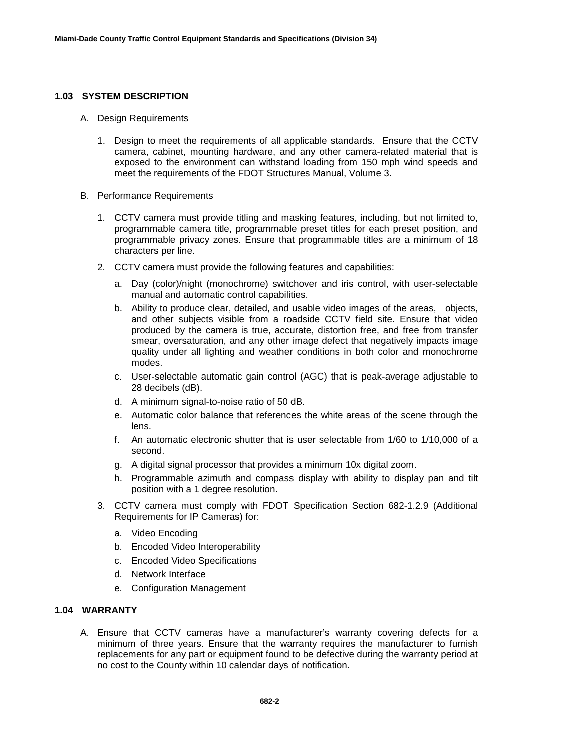#### **1.03 SYSTEM DESCRIPTION**

- A. Design Requirements
	- 1. Design to meet the requirements of all applicable standards. Ensure that the CCTV camera, cabinet, mounting hardware, and any other camera-related material that is exposed to the environment can withstand loading from 150 mph wind speeds and meet the requirements of the FDOT Structures Manual, Volume 3.
- B. Performance Requirements
	- 1. CCTV camera must provide titling and masking features, including, but not limited to, programmable camera title, programmable preset titles for each preset position, and programmable privacy zones. Ensure that programmable titles are a minimum of 18 characters per line.
	- 2. CCTV camera must provide the following features and capabilities:
		- a. Day (color)/night (monochrome) switchover and iris control, with user-selectable manual and automatic control capabilities.
		- b. Ability to produce clear, detailed, and usable video images of the areas, objects, and other subjects visible from a roadside CCTV field site. Ensure that video produced by the camera is true, accurate, distortion free, and free from transfer smear, oversaturation, and any other image defect that negatively impacts image quality under all lighting and weather conditions in both color and monochrome modes.
		- c. User-selectable automatic gain control (AGC) that is peak-average adjustable to 28 decibels (dB).
		- d. A minimum signal-to-noise ratio of 50 dB.
		- e. Automatic color balance that references the white areas of the scene through the lens.
		- f. An automatic electronic shutter that is user selectable from 1/60 to 1/10,000 of a second.
		- g. A digital signal processor that provides a minimum 10x digital zoom.
		- h. Programmable azimuth and compass display with ability to display pan and tilt position with a 1 degree resolution.
	- 3. CCTV camera must comply with FDOT Specification Section 682-1.2.9 (Additional Requirements for IP Cameras) for:
		- a. Video Encoding
		- b. Encoded Video Interoperability
		- c. Encoded Video Specifications
		- d. Network Interface
		- e. Configuration Management

#### **1.04 WARRANTY**

A. Ensure that CCTV cameras have a manufacturer's warranty covering defects for a minimum of three years. Ensure that the warranty requires the manufacturer to furnish replacements for any part or equipment found to be defective during the warranty period at no cost to the County within 10 calendar days of notification.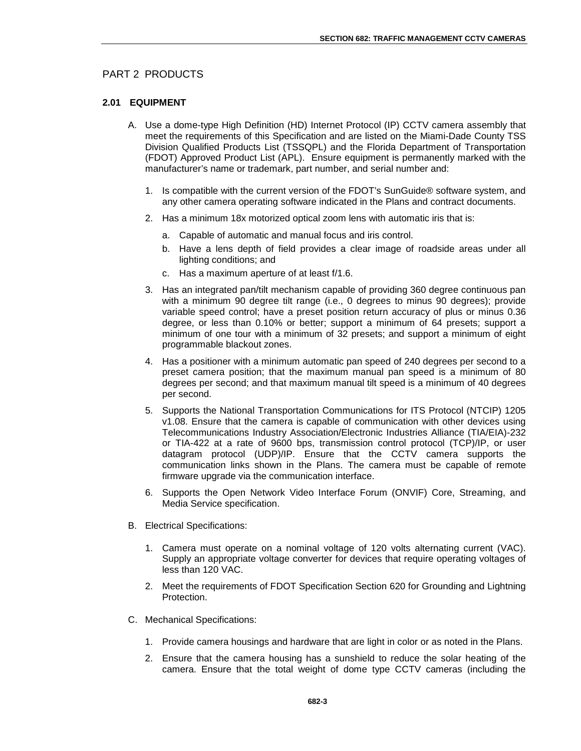### PART 2 PRODUCTS

#### **2.01 EQUIPMENT**

- A. Use a dome-type High Definition (HD) Internet Protocol (IP) CCTV camera assembly that meet the requirements of this Specification and are listed on the Miami-Dade County TSS Division Qualified Products List (TSSQPL) and the Florida Department of Transportation (FDOT) Approved Product List (APL). Ensure equipment is permanently marked with the manufacturer's name or trademark, part number, and serial number and:
	- 1. Is compatible with the current version of the FDOT's SunGuide® software system, and any other camera operating software indicated in the Plans and contract documents.
	- 2. Has a minimum 18x motorized optical zoom lens with automatic iris that is:
		- a. Capable of automatic and manual focus and iris control.
		- b. Have a lens depth of field provides a clear image of roadside areas under all lighting conditions; and
		- c. Has a maximum aperture of at least f/1.6.
	- 3. Has an integrated pan/tilt mechanism capable of providing 360 degree continuous pan with a minimum 90 degree tilt range (i.e., 0 degrees to minus 90 degrees); provide variable speed control; have a preset position return accuracy of plus or minus 0.36 degree, or less than 0.10% or better; support a minimum of 64 presets; support a minimum of one tour with a minimum of 32 presets; and support a minimum of eight programmable blackout zones.
	- 4. Has a positioner with a minimum automatic pan speed of 240 degrees per second to a preset camera position; that the maximum manual pan speed is a minimum of 80 degrees per second; and that maximum manual tilt speed is a minimum of 40 degrees per second.
	- 5. Supports the National Transportation Communications for ITS Protocol (NTCIP) 1205 v1.08. Ensure that the camera is capable of communication with other devices using Telecommunications Industry Association/Electronic Industries Alliance (TIA/EIA)-232 or TIA-422 at a rate of 9600 bps, transmission control protocol (TCP)/IP, or user datagram protocol (UDP)/IP. Ensure that the CCTV camera supports the communication links shown in the Plans. The camera must be capable of remote firmware upgrade via the communication interface.
	- 6. Supports the Open Network Video Interface Forum (ONVIF) Core, Streaming, and Media Service specification.
- B. Electrical Specifications:
	- 1. Camera must operate on a nominal voltage of 120 volts alternating current (VAC). Supply an appropriate voltage converter for devices that require operating voltages of less than 120 VAC.
	- 2. Meet the requirements of FDOT Specification Section 620 for Grounding and Lightning Protection.
- C. Mechanical Specifications:
	- 1. Provide camera housings and hardware that are light in color or as noted in the Plans.
	- 2. Ensure that the camera housing has a sunshield to reduce the solar heating of the camera. Ensure that the total weight of dome type CCTV cameras (including the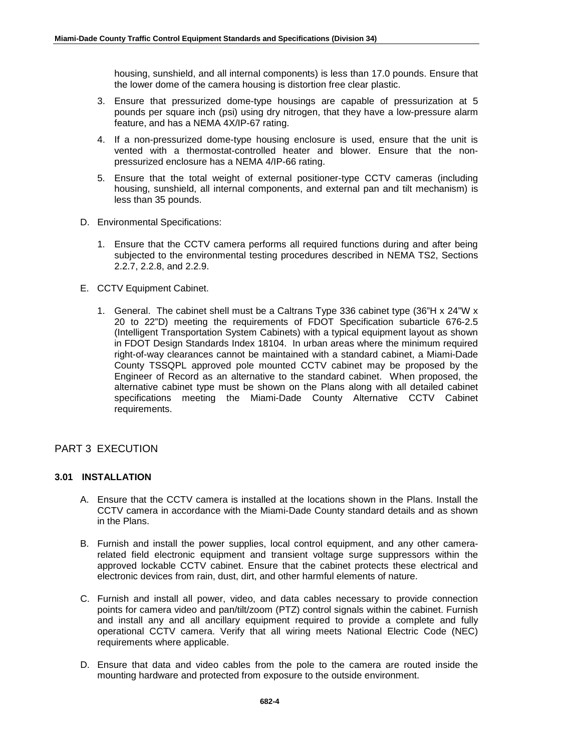housing, sunshield, and all internal components) is less than 17.0 pounds. Ensure that the lower dome of the camera housing is distortion free clear plastic.

- 3. Ensure that pressurized dome-type housings are capable of pressurization at 5 pounds per square inch (psi) using dry nitrogen, that they have a low-pressure alarm feature, and has a NEMA 4X/IP-67 rating.
- 4. If a non-pressurized dome-type housing enclosure is used, ensure that the unit is vented with a thermostat-controlled heater and blower. Ensure that the nonpressurized enclosure has a NEMA 4/IP-66 rating.
- 5. Ensure that the total weight of external positioner-type CCTV cameras (including housing, sunshield, all internal components, and external pan and tilt mechanism) is less than 35 pounds.
- D. Environmental Specifications:
	- 1. Ensure that the CCTV camera performs all required functions during and after being subjected to the environmental testing procedures described in NEMA TS2, Sections 2.2.7, 2.2.8, and 2.2.9.
- E. CCTV Equipment Cabinet.
	- 1. General. The cabinet shell must be a Caltrans Type 336 cabinet type (36"H x 24"W x 20 to 22"D) meeting the requirements of FDOT Specification subarticle 676-2.5 (Intelligent Transportation System Cabinets) with a typical equipment layout as shown in FDOT Design Standards Index 18104. In urban areas where the minimum required right-of-way clearances cannot be maintained with a standard cabinet, a Miami-Dade County TSSQPL approved pole mounted CCTV cabinet may be proposed by the Engineer of Record as an alternative to the standard cabinet. When proposed, the alternative cabinet type must be shown on the Plans along with all detailed cabinet specifications meeting the Miami-Dade County Alternative CCTV Cabinet requirements.

#### PART 3 EXECUTION

#### **3.01 INSTALLATION**

- A. Ensure that the CCTV camera is installed at the locations shown in the Plans. Install the CCTV camera in accordance with the Miami-Dade County standard details and as shown in the Plans.
- B. Furnish and install the power supplies, local control equipment, and any other camerarelated field electronic equipment and transient voltage surge suppressors within the approved lockable CCTV cabinet. Ensure that the cabinet protects these electrical and electronic devices from rain, dust, dirt, and other harmful elements of nature.
- C. Furnish and install all power, video, and data cables necessary to provide connection points for camera video and pan/tilt/zoom (PTZ) control signals within the cabinet. Furnish and install any and all ancillary equipment required to provide a complete and fully operational CCTV camera. Verify that all wiring meets National Electric Code (NEC) requirements where applicable.
- D. Ensure that data and video cables from the pole to the camera are routed inside the mounting hardware and protected from exposure to the outside environment.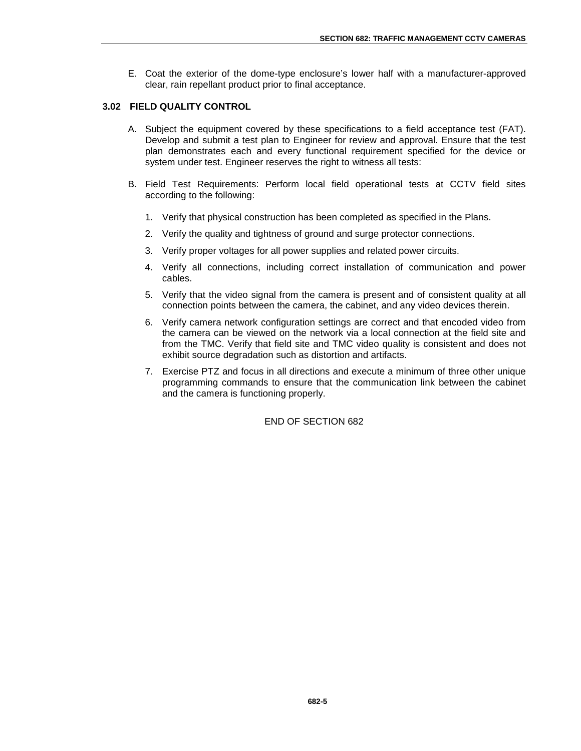E. Coat the exterior of the dome-type enclosure's lower half with a manufacturer-approved clear, rain repellant product prior to final acceptance.

#### **3.02 FIELD QUALITY CONTROL**

- A. Subject the equipment covered by these specifications to a field acceptance test (FAT). Develop and submit a test plan to Engineer for review and approval. Ensure that the test plan demonstrates each and every functional requirement specified for the device or system under test. Engineer reserves the right to witness all tests:
- B. Field Test Requirements: Perform local field operational tests at CCTV field sites according to the following:
	- 1. Verify that physical construction has been completed as specified in the Plans.
	- 2. Verify the quality and tightness of ground and surge protector connections.
	- 3. Verify proper voltages for all power supplies and related power circuits.
	- 4. Verify all connections, including correct installation of communication and power cables.
	- 5. Verify that the video signal from the camera is present and of consistent quality at all connection points between the camera, the cabinet, and any video devices therein.
	- 6. Verify camera network configuration settings are correct and that encoded video from the camera can be viewed on the network via a local connection at the field site and from the TMC. Verify that field site and TMC video quality is consistent and does not exhibit source degradation such as distortion and artifacts.
	- 7. Exercise PTZ and focus in all directions and execute a minimum of three other unique programming commands to ensure that the communication link between the cabinet and the camera is functioning properly.

END OF SECTION 682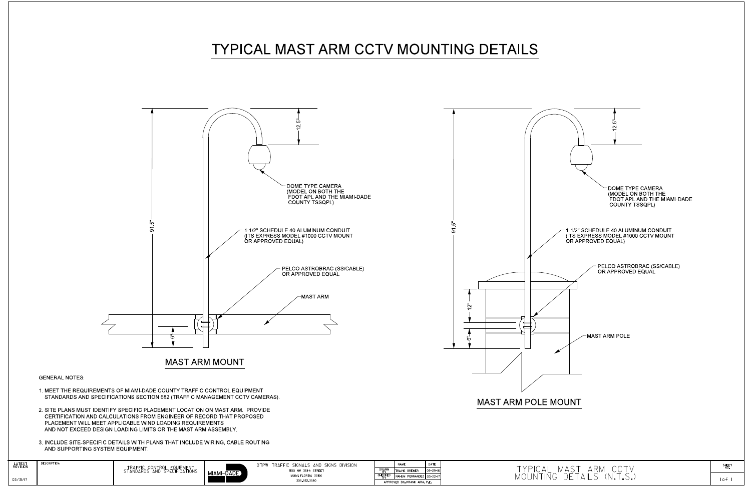# **TYPICAL MAST ARM CCTV MOUNTING DETAILS**





### **GENERAL NOTES**

- 1. MEET THE REQUIREMENTS OF MIAMI-DADE COUNTY TRAFFIC CONTROL EQUIPMENT STANDARDS AND SPECIFICATIONS SECTION 682 (TRAFFIC MANAGEMENT CCTV CAMERAS).
- 2. SITE PLANS MUST IDENTIFY SPECIFIC PLACEMENT LOCATION ON MAST ARM. PROVIDE CERTIFICATION AND CALCULATIONS FROM ENGINEER OF RECORD THAT PROPOSED PLACEMENT WILL MEET APPLICABLE WIND LOADING REQUIREMENTS AND NOT EXCEED DESIGN LOADING LIMITS OR THE MAST ARM ASSEMBLY.
- 3. INCLUDE SITE-SPECIFIC DETAILS WITH PLANS THAT INCLUDE WIRING, CABLE ROUTING AND SUPPORTING SYSTEM EQUIPMENT.

| LATEST<br>REVISION | DESCRIPTION: | TRAFFIC CONTROL EQUIPMENT<br>STANDARDS AND SPECIFICATIONS |            |                                            | DTPW TRAFFIC SIGNALS AND SIGNS DIVISION |                              | NAME     | DATE | Y DIM A I |
|--------------------|--------------|-----------------------------------------------------------|------------|--------------------------------------------|-----------------------------------------|------------------------------|----------|------|-----------|
|                    |              |                                                           | MIAMI-DADE | 7100 NW 36th STREET<br>MIAMI FLORIDA 33166 |                                         | <b>IS BREWER</b>             | 09-29-16 | IVA  |           |
| 03/31/17           |              |                                                           |            |                                            | CHECKED                                 | NAHUM FERNANDEZ 03-22-17     |          |      |           |
|                    |              |                                                           |            | 305.592.3580                               |                                         | APPROVED BY: FRANK AIRA P.E. |          |      |           |

## SHEET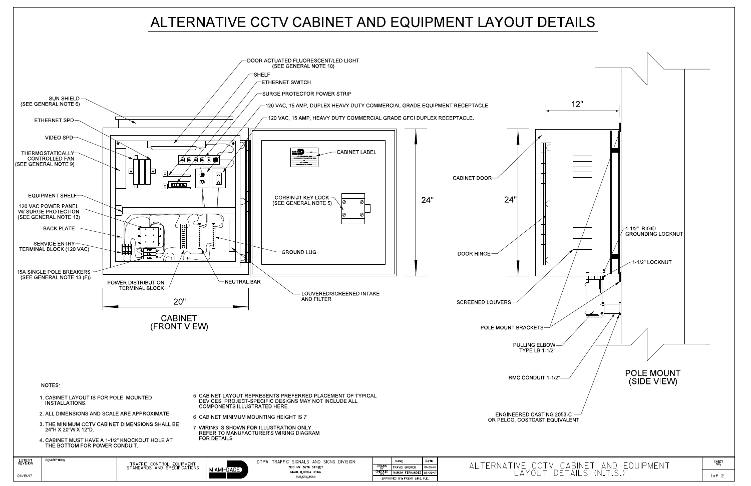